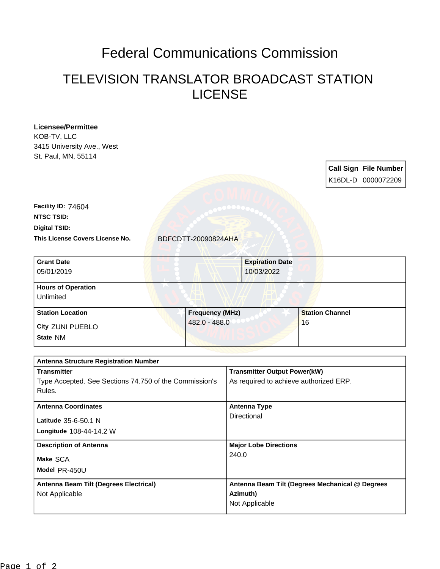## Federal Communications Commission

## TELEVISION TRANSLATOR BROADCAST STATION LICENSE

| <b>Licensee/Permittee</b>                              |                     |                        |                                                 |                        |  |                              |  |
|--------------------------------------------------------|---------------------|------------------------|-------------------------------------------------|------------------------|--|------------------------------|--|
| KOB-TV, LLC                                            |                     |                        |                                                 |                        |  |                              |  |
| 3415 University Ave., West                             |                     |                        |                                                 |                        |  |                              |  |
| St. Paul, MN, 55114                                    |                     |                        |                                                 |                        |  |                              |  |
|                                                        |                     |                        |                                                 |                        |  | <b>Call Sign File Number</b> |  |
|                                                        |                     |                        |                                                 |                        |  |                              |  |
|                                                        |                     |                        |                                                 |                        |  | K16DL-D 0000072209           |  |
|                                                        |                     |                        |                                                 |                        |  |                              |  |
| Facility ID: 74604                                     |                     |                        |                                                 |                        |  |                              |  |
| <b>NTSC TSID:</b>                                      |                     |                        |                                                 |                        |  |                              |  |
| <b>Digital TSID:</b>                                   |                     |                        |                                                 |                        |  |                              |  |
| This License Covers License No.                        | BDFCDTT-20090824AHA |                        |                                                 |                        |  |                              |  |
| <b>Grant Date</b>                                      |                     |                        | <b>Expiration Date</b>                          |                        |  |                              |  |
| 05/01/2019                                             |                     |                        | 10/03/2022                                      |                        |  |                              |  |
|                                                        |                     |                        |                                                 |                        |  |                              |  |
| <b>Hours of Operation</b>                              |                     |                        |                                                 |                        |  |                              |  |
| Unlimited                                              |                     |                        |                                                 |                        |  |                              |  |
| <b>Station Location</b>                                |                     | <b>Frequency (MHz)</b> |                                                 | <b>Station Channel</b> |  |                              |  |
| City ZUNI PUEBLO                                       | 482.0 - 488.0       |                        |                                                 | 16                     |  |                              |  |
| State NM                                               |                     |                        |                                                 |                        |  |                              |  |
|                                                        |                     |                        |                                                 |                        |  |                              |  |
| <b>Antenna Structure Registration Number</b>           |                     |                        |                                                 |                        |  |                              |  |
| <b>Transmitter</b>                                     |                     |                        | <b>Transmitter Output Power(kW)</b>             |                        |  |                              |  |
| Type Accepted. See Sections 74.750 of the Commission's |                     |                        | As required to achieve authorized ERP.          |                        |  |                              |  |
| Rules.                                                 |                     |                        |                                                 |                        |  |                              |  |
| <b>Antenna Coordinates</b>                             |                     |                        | <b>Antenna Type</b>                             |                        |  |                              |  |
|                                                        |                     |                        | Directional                                     |                        |  |                              |  |
| Latitude 35-6-50.1 N                                   |                     |                        |                                                 |                        |  |                              |  |
| Longitude 108-44-14.2 W                                |                     |                        |                                                 |                        |  |                              |  |
| <b>Description of Antenna</b>                          |                     |                        | <b>Major Lobe Directions</b>                    |                        |  |                              |  |
| Make SCA                                               |                     | 240.0                  |                                                 |                        |  |                              |  |
| Model PR-450U                                          |                     |                        |                                                 |                        |  |                              |  |
|                                                        |                     |                        |                                                 |                        |  |                              |  |
| Antenna Beam Tilt (Degrees Electrical)                 |                     |                        | Antenna Beam Tilt (Degrees Mechanical @ Degrees |                        |  |                              |  |
| Not Applicable                                         |                     |                        | Azimuth)                                        |                        |  |                              |  |
|                                                        |                     |                        | Not Applicable                                  |                        |  |                              |  |
|                                                        |                     |                        |                                                 |                        |  |                              |  |